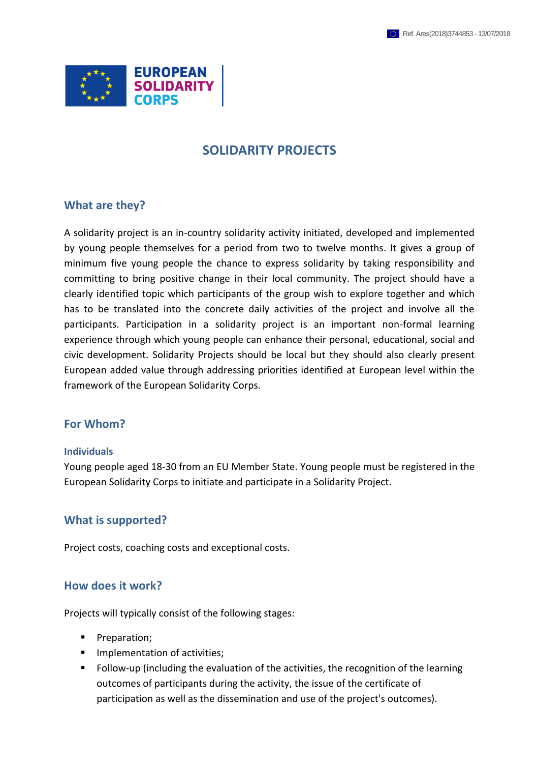

# **SOLIDARITY PROJECTS**

## **What are they?**

A solidarity project is an in-country solidarity activity initiated, developed and implemented by young people themselves for a period from two to twelve months. It gives a group of minimum five young people the chance to express solidarity by taking responsibility and committing to bring positive change in their local community. The project should have a clearly identified topic which participants of the group wish to explore together and which has to be translated into the concrete daily activities of the project and involve all the participants. Participation in a solidarity project is an important non-formal learning experience through which young people can enhance their personal, educational, social and civic development. Solidarity Projects should be local but they should also clearly present European added value through addressing priorities identified at European level within the framework of the European Solidarity Corps.

## **For Whom?**

#### **Individuals**

Young people aged 18-30 from an EU Member State. Young people must be registered in the European Solidarity Corps to initiate and participate in a Solidarity Project.

## **What is supported?**

Project costs, coaching costs and exceptional costs.

## **How does it work?**

Projects will typically consist of the following stages:

- **Preparation;**
- **IMPLEMENTATION OF ACTIVITIES;**
- Follow-up (including the evaluation of the activities, the recognition of the learning outcomes of participants during the activity, the issue of the certificate of participation as well as the dissemination and use of the project's outcomes).